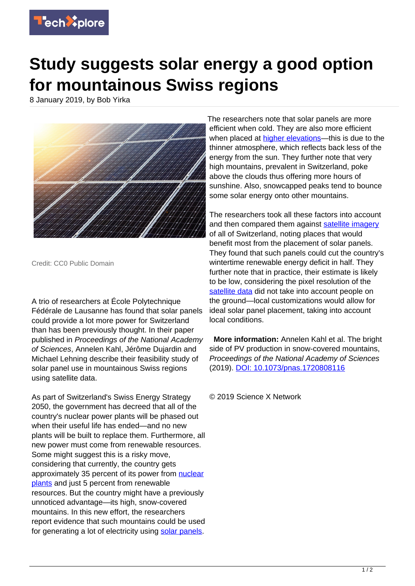

## **Study suggests solar energy a good option for mountainous Swiss regions**

8 January 2019, by Bob Yirka



Credit: CC0 Public Domain

A trio of researchers at École Polytechnique Fédérale de Lausanne has found that solar panels could provide a lot more power for Switzerland than has been previously thought. In their paper published in Proceedings of the National Academy of Sciences, Annelen Kahl, Jérôme Dujardin and Michael Lehning describe their feasibility study of solar panel use in mountainous Swiss regions using satellite data.

As part of Switzerland's Swiss Energy Strategy 2050, the government has decreed that all of the country's nuclear power plants will be phased out when their useful life has ended—and no new plants will be built to replace them. Furthermore, all new power must come from renewable resources. Some might suggest this is a risky move, considering that currently, the country gets approximately 35 percent of its power from [nuclear](https://techxplore.com/tags/nuclear+plants/) [plants](https://techxplore.com/tags/nuclear+plants/) and just 5 percent from renewable resources. But the country might have a previously unnoticed advantage—its high, snow-covered mountains. In this new effort, the researchers report evidence that such mountains could be used for generating a lot of electricity using [solar panels.](https://techxplore.com/tags/solar+panels/)

The researchers note that solar panels are more efficient when cold. They are also more efficient when placed at [higher elevations—](https://techxplore.com/tags/higher+elevations/)this is due to the thinner atmosphere, which reflects back less of the energy from the sun. They further note that very high mountains, prevalent in Switzerland, poke above the clouds thus offering more hours of sunshine. Also, snowcapped peaks tend to bounce some solar energy onto other mountains.

The researchers took all these factors into account and then compared them against [satellite imagery](https://techxplore.com/tags/satellite+imagery/) of all of Switzerland, noting places that would benefit most from the placement of solar panels. They found that such panels could cut the country's wintertime renewable energy deficit in half. They further note that in practice, their estimate is likely to be low, considering the pixel resolution of the [satellite data](https://techxplore.com/tags/satellite+data/) did not take into account people on the ground—local customizations would allow for ideal solar panel placement, taking into account local conditions.

 **More information:** Annelen Kahl et al. The bright side of PV production in snow-covered mountains, Proceedings of the National Academy of Sciences (2019). [DOI: 10.1073/pnas.1720808116](http://dx.doi.org/10.1073/pnas.1720808116)

© 2019 Science X Network